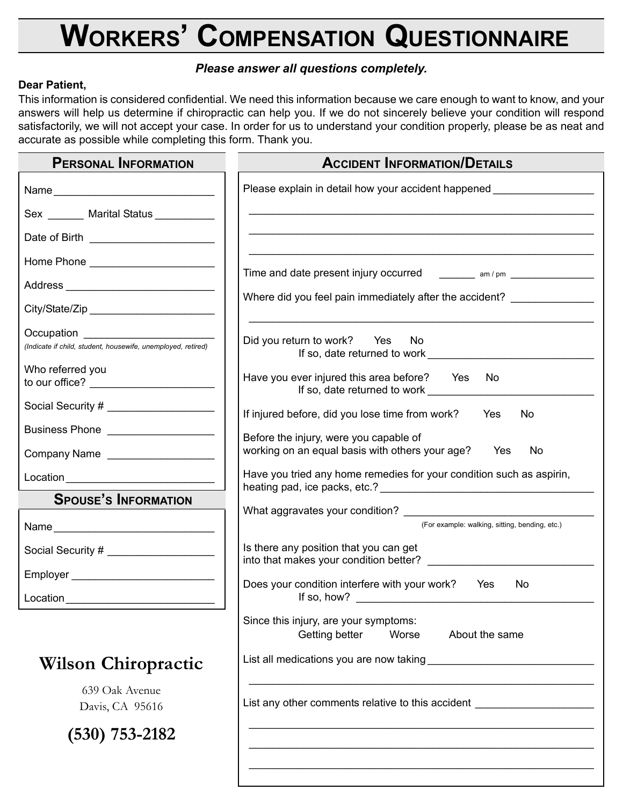## **WORKERS' COMPENSATION QUESTIONNAIRE**

## *Please answer all questions completely.*

## **Dear Patient,**

This information is considered confidential. We need this information because we care enough to want to know, and your answers will help us determine if chiropractic can help you. If we do not sincerely believe your condition will respond satisfactorily, we will not accept your case. In order for us to understand your condition properly, please be as neat and accurate as possible while completing this form. Thank you.

| <b>PERSONAL INFORMATION</b>                                                                         | <b>ACCIDENT INFORMATION/DETAILS</b>                                                                  |
|-----------------------------------------------------------------------------------------------------|------------------------------------------------------------------------------------------------------|
|                                                                                                     | Please explain in detail how your accident happened ____________________________                     |
| Sex _______ Marital Status __________                                                               |                                                                                                      |
|                                                                                                     |                                                                                                      |
|                                                                                                     |                                                                                                      |
|                                                                                                     | Time and date present injury occurred ________ am / pm _______________                               |
|                                                                                                     | Where did you feel pain immediately after the accident? _______________                              |
| Occupation ________________________<br>(Indicate if child, student, housewife, unemployed, retired) | Did you return to work? Yes No<br>If so, date returned to work                                       |
| Who referred you                                                                                    | Have you ever injured this area before? Yes<br><b>No</b><br>If so, date returned to work ___________ |
| Social Security # ______________________                                                            | If injured before, did you lose time from work? Yes<br>No.                                           |
| Business Phone ____________________                                                                 | Before the injury, were you capable of                                                               |
| Company Name                                                                                        | working on an equal basis with others your age? Yes<br>No                                            |
|                                                                                                     | Have you tried any home remedies for your condition such as aspirin,                                 |
| <b>SPOUSE'S INFORMATION</b>                                                                         |                                                                                                      |
| Name                                                                                                | (For example: walking, sitting, bending, etc.)                                                       |
| Social Security # ______________________                                                            | Is there any position that you can get<br>into that makes your condition better? ____________        |
| Employer __________________________________                                                         | Does your condition interfere with your work? Yes<br>No.                                             |
|                                                                                                     |                                                                                                      |
|                                                                                                     | Since this injury, are your symptoms:<br>Getting better<br>Worse<br>About the same                   |
| <b>Wilson Chiropractic</b>                                                                          |                                                                                                      |
| 639 Oak Avenue<br>Davis, CA 95616                                                                   | List any other comments relative to this accident                                                    |
| $(530)$ 753-2182                                                                                    |                                                                                                      |
|                                                                                                     |                                                                                                      |